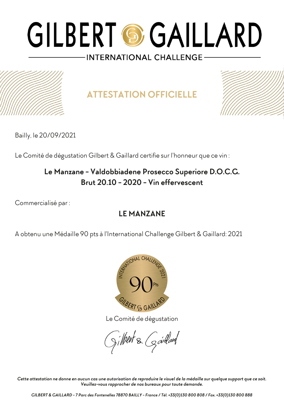

**ATTESTATION OFFICIELLE**



Bailly, le 20/09/2021

Le Comité de dégustation Gilbert & Gaillard certifie sur l'honneur que ce vin :

### **Le Manzane - Valdobbiadene Prosecco Superiore D.O.C.G. Brut 20.10 - 2020 - Vin effervescent**

Commercialisé par :

### **LE MANZANE**

A obtenu une Médaille 90 pts à l'International Challenge Gilbert & Gaillard: 2021



Le Comité de dégustation

gilbert & Garlard

*Cette attestation ne donne en aucun cas une autorisation de reproduire le visuel de la médaille sur quelque support que ce soit. Veuillez-vous rapprocher de nos bureaux pour toute demande.*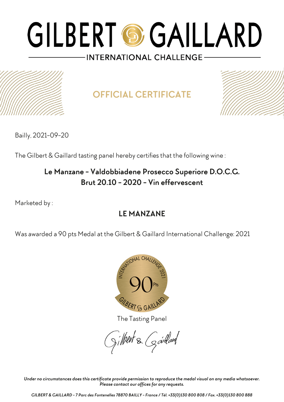

## **OFFICIAL CERTIFICATE**



Bailly, 2021-09-20

The Gilbert & Gaillard tasting panel hereby certifies that the following wine :

### **Le Manzane - Valdobbiadene Prosecco Superiore D.O.C.G. Brut 20.10 - 2020 - Vin effervescent**

Marketed by :

### **LE MANZANE**

Was awarded a 90 pts Medal at the Gilbert & Gaillard International Challenge: 2021



The Tasting Panel

gilbert & Gardard

*Under no circumstances does this certificate provide permission to reproduce the medal visual on any media whatsoever. Please contact our offices for any requests.*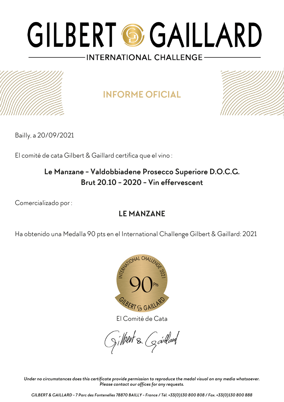## **INFORME OFICIAL**



Bailly, a 20/09/2021

El comité de cata Gilbert & Gaillard certifica que el vino :

### **Le Manzane - Valdobbiadene Prosecco Superiore D.O.C.G. Brut 20.10 - 2020 - Vin effervescent**

Comercializado por :

### **LE MANZANE**

Ha obtenido una Medalla 90 pts en el International Challenge Gilbert & Gaillard: 2021



El Comité de Cata

gilbert & Gardard

*Under no circumstances does this certificate provide permission to reproduce the medal visual on any media whatsoever. Please contact our offices for any requests.*